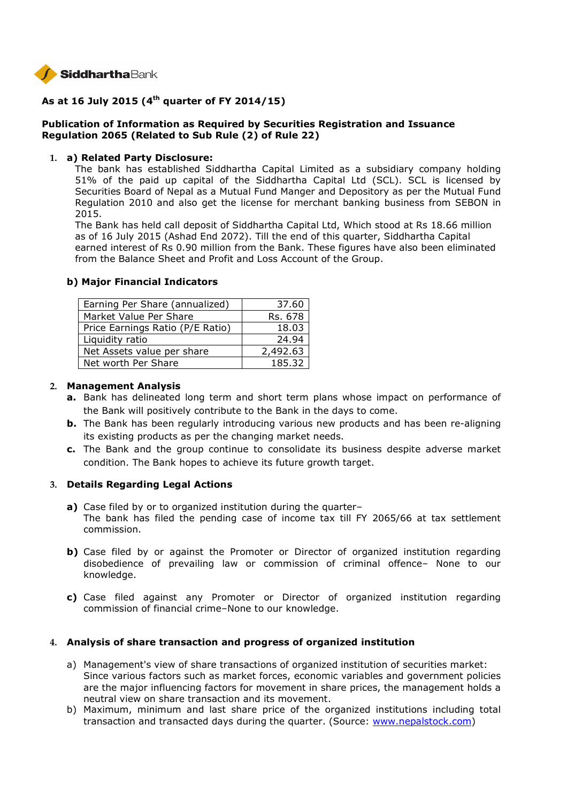

# **As at 16 July 2015 (4th quarter of FY 2014/15)**

## **Publication of Information as Required by Securities Registration and Issuance Regulation 2065 (Related to Sub Rule (2) of Rule 22)**

### **1. a) Related Party Disclosure:**

The bank has established Siddhartha Capital Limited as a subsidiary company holding 51% of the paid up capital of the Siddhartha Capital Ltd (SCL). SCL is licensed by Securities Board of Nepal as a Mutual Fund Manger and Depository as per the Mutual Fund Regulation 2010 and also get the license for merchant banking business from SEBON in 2015.

The Bank has held call deposit of Siddhartha Capital Ltd, Which stood at Rs 18.66 million as of 16 July 2015 (Ashad End 2072). Till the end of this quarter, Siddhartha Capital earned interest of Rs 0.90 million from the Bank. These figures have also been eliminated from the Balance Sheet and Profit and Loss Account of the Group.

| Earning Per Share (annualized)   | 37.60    |
|----------------------------------|----------|
| Market Value Per Share           | Rs. 678  |
| Price Earnings Ratio (P/E Ratio) | 18.03    |
| Liquidity ratio                  | 24.94    |
| Net Assets value per share       | 2,492.63 |
| Net worth Per Share              | 185.32   |

### **b) Major Financial Indicators**

### **2. Management Analysis**

- **a.** Bank has delineated long term and short term plans whose impact on performance of the Bank will positively contribute to the Bank in the days to come.
- **b.** The Bank has been regularly introducing various new products and has been re-aligning its existing products as per the changing market needs.
- **c.** The Bank and the group continue to consolidate its business despite adverse market condition. The Bank hopes to achieve its future growth target.

## **3. Details Regarding Legal Actions**

- **a)** Case filed by or to organized institution during the quarter– The bank has filed the pending case of income tax till FY 2065/66 at tax settlement commission.
- **b)** Case filed by or against the Promoter or Director of organized institution regarding disobedience of prevailing law or commission of criminal offence– None to our knowledge.
- **c)** Case filed against any Promoter or Director of organized institution regarding commission of financial crime–None to our knowledge.

## **4. Analysis of share transaction and progress of organized institution**

- a) Management's view of share transactions of organized institution of securities market: Since various factors such as market forces, economic variables and government policies are the major influencing factors for movement in share prices, the management holds a neutral view on share transaction and its movement.
- b) Maximum, minimum and last share price of the organized institutions including total transaction and transacted days during the quarter. (Source: www.nepalstock.com)